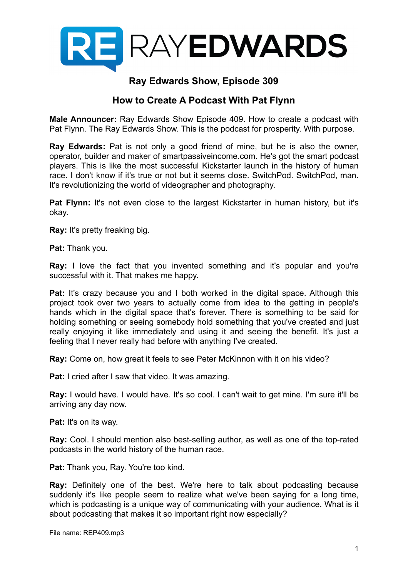

## **Ray Edwards Show, Episode 309**

## **How to Create A Podcast With Pat Flynn**

**Male Announcer:** Ray Edwards Show Episode 409. How to create a podcast with Pat Flynn. The Ray Edwards Show. This is the podcast for prosperity. With purpose.

**Ray Edwards:** Pat is not only a good friend of mine, but he is also the owner, operator, builder and maker of smartpassiveincome.com. He's got the smart podcast players. This is like the most successful Kickstarter launch in the history of human race. I don't know if it's true or not but it seems close. SwitchPod. SwitchPod, man. It's revolutionizing the world of videographer and photography.

**Pat Flynn:** It's not even close to the largest Kickstarter in human history, but it's okay.

**Ray:** It's pretty freaking big.

**Pat:** Thank you.

**Ray:** I love the fact that you invented something and it's popular and you're successful with it. That makes me happy.

**Pat:** It's crazy because you and I both worked in the digital space. Although this project took over two years to actually come from idea to the getting in people's hands which in the digital space that's forever. There is something to be said for holding something or seeing somebody hold something that you've created and just really enjoying it like immediately and using it and seeing the benefit. It's just a feeling that I never really had before with anything I've created.

**Ray:** Come on, how great it feels to see Peter McKinnon with it on his video?

**Pat:** I cried after I saw that video. It was amazing.

**Ray:** I would have. I would have. It's so cool. I can't wait to get mine. I'm sure it'll be arriving any day now.

**Pat:** It's on its way.

**Ray:** Cool. I should mention also best-selling author, as well as one of the top-rated podcasts in the world history of the human race.

**Pat:** Thank you, Ray. You're too kind.

**Ray:** Definitely one of the best. We're here to talk about podcasting because suddenly it's like people seem to realize what we've been saying for a long time, which is podcasting is a unique way of communicating with your audience. What is it about podcasting that makes it so important right now especially?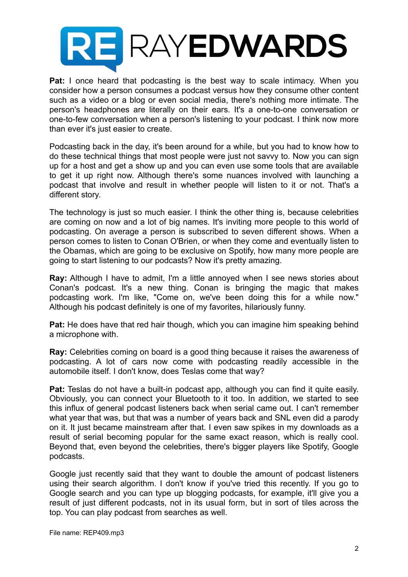

**Pat:** I once heard that podcasting is the best way to scale intimacy. When you consider how a person consumes a podcast versus how they consume other content such as a video or a blog or even social media, there's nothing more intimate. The person's headphones are literally on their ears. It's a one-to-one conversation or one-to-few conversation when a person's listening to your podcast. I think now more than ever it's just easier to create.

Podcasting back in the day, it's been around for a while, but you had to know how to do these technical things that most people were just not savvy to. Now you can sign up for a host and get a show up and you can even use some tools that are available to get it up right now. Although there's some nuances involved with launching a podcast that involve and result in whether people will listen to it or not. That's a different story.

The technology is just so much easier. I think the other thing is, because celebrities are coming on now and a lot of big names. It's inviting more people to this world of podcasting. On average a person is subscribed to seven different shows. When a person comes to listen to Conan O'Brien, or when they come and eventually listen to the Obamas, which are going to be exclusive on Spotify, how many more people are going to start listening to our podcasts? Now it's pretty amazing.

**Ray:** Although I have to admit, I'm a little annoyed when I see news stories about Conan's podcast. It's a new thing. Conan is bringing the magic that makes podcasting work. I'm like, "Come on, we've been doing this for a while now." Although his podcast definitely is one of my favorites, hilariously funny.

**Pat:** He does have that red hair though, which you can imagine him speaking behind a microphone with.

**Ray:** Celebrities coming on board is a good thing because it raises the awareness of podcasting. A lot of cars now come with podcasting readily accessible in the automobile itself. I don't know, does Teslas come that way?

**Pat:** Teslas do not have a built-in podcast app, although you can find it quite easily. Obviously, you can connect your Bluetooth to it too. In addition, we started to see this influx of general podcast listeners back when serial came out. I can't remember what year that was, but that was a number of years back and SNL even did a parody on it. It just became mainstream after that. I even saw spikes in my downloads as a result of serial becoming popular for the same exact reason, which is really cool. Beyond that, even beyond the celebrities, there's bigger players like Spotify, Google podcasts.

Google just recently said that they want to double the amount of podcast listeners using their search algorithm. I don't know if you've tried this recently. If you go to Google search and you can type up blogging podcasts, for example, it'll give you a result of just different podcasts, not in its usual form, but in sort of tiles across the top. You can play podcast from searches as well.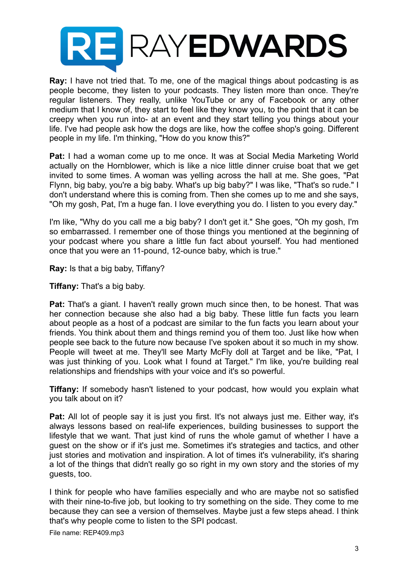

**Ray:** I have not tried that. To me, one of the magical things about podcasting is as people become, they listen to your podcasts. They listen more than once. They're regular listeners. They really, unlike YouTube or any of Facebook or any other medium that I know of, they start to feel like they know you, to the point that it can be creepy when you run into- at an event and they start telling you things about your life. I've had people ask how the dogs are like, how the coffee shop's going. Different people in my life. I'm thinking, "How do you know this?"

**Pat:** I had a woman come up to me once. It was at Social Media Marketing World actually on the Hornblower, which is like a nice little dinner cruise boat that we get invited to some times. A woman was yelling across the hall at me. She goes, "Pat Flynn, big baby, you're a big baby. What's up big baby?" I was like, "That's so rude." I don't understand where this is coming from. Then she comes up to me and she says, "Oh my gosh, Pat, I'm a huge fan. I love everything you do. I listen to you every day."

I'm like, "Why do you call me a big baby? I don't get it." She goes, "Oh my gosh, I'm so embarrassed. I remember one of those things you mentioned at the beginning of your podcast where you share a little fun fact about yourself. You had mentioned once that you were an 11-pound, 12-ounce baby, which is true."

**Ray:** Is that a big baby, Tiffany?

**Tiffany:** That's a big baby.

**Pat:** That's a giant. I haven't really grown much since then, to be honest. That was her connection because she also had a big baby. These little fun facts you learn about people as a host of a podcast are similar to the fun facts you learn about your friends. You think about them and things remind you of them too. Just like how when people see back to the future now because I've spoken about it so much in my show. People will tweet at me. They'll see Marty McFly doll at Target and be like, "Pat, I was just thinking of you. Look what I found at Target." I'm like, you're building real relationships and friendships with your voice and it's so powerful.

**Tiffany:** If somebody hasn't listened to your podcast, how would you explain what you talk about on it?

**Pat:** All lot of people say it is just you first. It's not always just me. Either way, it's always lessons based on real-life experiences, building businesses to support the lifestyle that we want. That just kind of runs the whole gamut of whether I have a guest on the show or if it's just me. Sometimes it's strategies and tactics, and other just stories and motivation and inspiration. A lot of times it's vulnerability, it's sharing a lot of the things that didn't really go so right in my own story and the stories of my guests, too.

I think for people who have families especially and who are maybe not so satisfied with their nine-to-five job, but looking to try something on the side. They come to me because they can see a version of themselves. Maybe just a few steps ahead. I think that's why people come to listen to the SPI podcast.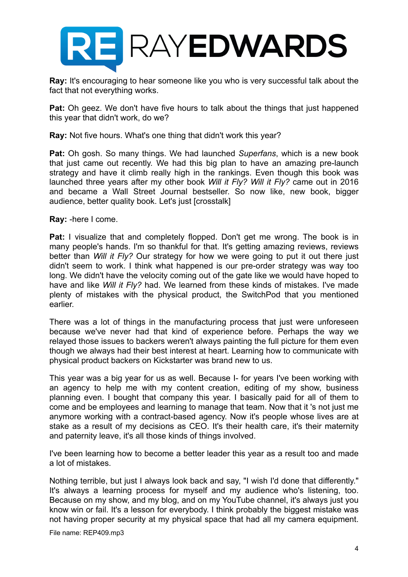

**Ray:** It's encouraging to hear someone like you who is very successful talk about the fact that not everything works.

**Pat:** Oh geez. We don't have five hours to talk about the things that just happened this year that didn't work, do we?

**Ray:** Not five hours. What's one thing that didn't work this year?

**Pat:** Oh gosh. So many things. We had launched *Superfans*, which is a new book that just came out recently. We had this big plan to have an amazing pre-launch strategy and have it climb really high in the rankings. Even though this book was launched three years after my other book *Will it Fly? Will it Fly?* came out in 2016 and became a Wall Street Journal bestseller. So now like, new book, bigger audience, better quality book. Let's just [crosstalk]

**Ray:** -here I come.

**Pat:** I visualize that and completely flopped. Don't get me wrong. The book is in many people's hands. I'm so thankful for that. It's getting amazing reviews, reviews better than *Will it Fly?* Our strategy for how we were going to put it out there just didn't seem to work. I think what happened is our pre-order strategy was way too long. We didn't have the velocity coming out of the gate like we would have hoped to have and like *Will it Fly?* had. We learned from these kinds of mistakes. I've made plenty of mistakes with the physical product, the SwitchPod that you mentioned earlier.

There was a lot of things in the manufacturing process that just were unforeseen because we've never had that kind of experience before. Perhaps the way we relayed those issues to backers weren't always painting the full picture for them even though we always had their best interest at heart. Learning how to communicate with physical product backers on Kickstarter was brand new to us.

This year was a big year for us as well. Because I- for years I've been working with an agency to help me with my content creation, editing of my show, business planning even. I bought that company this year. I basically paid for all of them to come and be employees and learning to manage that team. Now that it 's not just me anymore working with a contract-based agency. Now it's people whose lives are at stake as a result of my decisions as CEO. It's their health care, it's their maternity and paternity leave, it's all those kinds of things involved.

I've been learning how to become a better leader this year as a result too and made a lot of mistakes.

Nothing terrible, but just I always look back and say, "I wish I'd done that differently." It's always a learning process for myself and my audience who's listening, too. Because on my show, and my blog, and on my YouTube channel, it's always just you know win or fail. It's a lesson for everybody. I think probably the biggest mistake was not having proper security at my physical space that had all my camera equipment.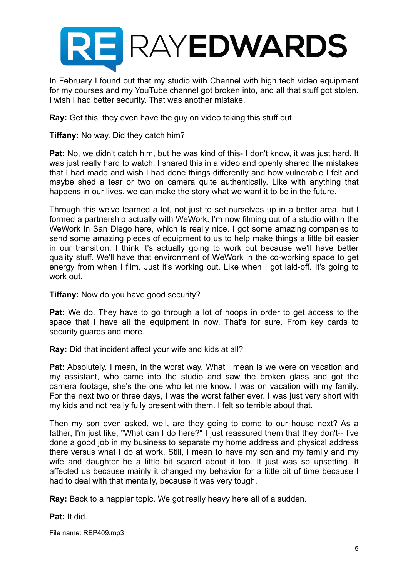

In February I found out that my studio with Channel with high tech video equipment for my courses and my YouTube channel got broken into, and all that stuff got stolen. I wish I had better security. That was another mistake.

**Ray:** Get this, they even have the guy on video taking this stuff out.

**Tiffany:** No way. Did they catch him?

**Pat:** No, we didn't catch him, but he was kind of this- I don't know, it was just hard. It was just really hard to watch. I shared this in a video and openly shared the mistakes that I had made and wish I had done things differently and how vulnerable I felt and maybe shed a tear or two on camera quite authentically. Like with anything that happens in our lives, we can make the story what we want it to be in the future.

Through this we've learned a lot, not just to set ourselves up in a better area, but I formed a partnership actually with WeWork. I'm now filming out of a studio within the WeWork in San Diego here, which is really nice. I got some amazing companies to send some amazing pieces of equipment to us to help make things a little bit easier in our transition. I think it's actually going to work out because we'll have better quality stuff. We'll have that environment of WeWork in the co-working space to get energy from when I film. Just it's working out. Like when I got laid-off. It's going to work out.

#### **Tiffany:** Now do you have good security?

**Pat:** We do. They have to go through a lot of hoops in order to get access to the space that I have all the equipment in now. That's for sure. From key cards to security guards and more.

**Ray:** Did that incident affect your wife and kids at all?

**Pat:** Absolutely. I mean, in the worst way. What I mean is we were on vacation and my assistant, who came into the studio and saw the broken glass and got the camera footage, she's the one who let me know. I was on vacation with my family. For the next two or three days, I was the worst father ever. I was just very short with my kids and not really fully present with them. I felt so terrible about that.

Then my son even asked, well, are they going to come to our house next? As a father, I'm just like, "What can I do here?" I just reassured them that they don't-- I've done a good job in my business to separate my home address and physical address there versus what I do at work. Still, I mean to have my son and my family and my wife and daughter be a little bit scared about it too. It just was so upsetting. It affected us because mainly it changed my behavior for a little bit of time because I had to deal with that mentally, because it was very tough.

**Ray:** Back to a happier topic. We got really heavy here all of a sudden.

#### **Pat:** It did.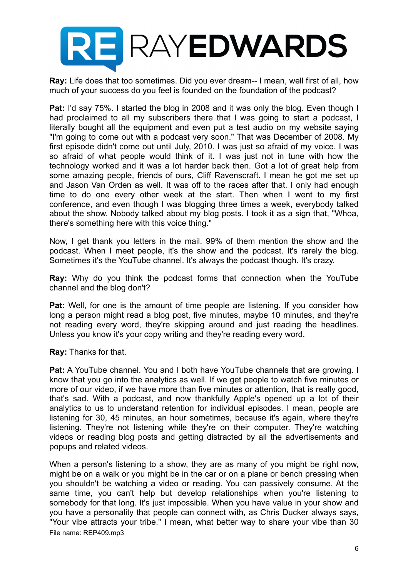

**Ray:** Life does that too sometimes. Did you ever dream-- I mean, well first of all, how much of your success do you feel is founded on the foundation of the podcast?

**Pat:** I'd say 75%. I started the blog in 2008 and it was only the blog. Even though I had proclaimed to all my subscribers there that I was going to start a podcast, I literally bought all the equipment and even put a test audio on my website saying "I'm going to come out with a podcast very soon." That was December of 2008. My first episode didn't come out until July, 2010. I was just so afraid of my voice. I was so afraid of what people would think of it. I was just not in tune with how the technology worked and it was a lot harder back then. Got a lot of great help from some amazing people, friends of ours, Cliff Ravenscraft. I mean he got me set up and Jason Van Orden as well. It was off to the races after that. I only had enough time to do one every other week at the start. Then when I went to my first conference, and even though I was blogging three times a week, everybody talked about the show. Nobody talked about my blog posts. I took it as a sign that, "Whoa, there's something here with this voice thing."

Now, I get thank you letters in the mail. 99% of them mention the show and the podcast. When I meet people, it's the show and the podcast. It's rarely the blog. Sometimes it's the YouTube channel. It's always the podcast though. It's crazy.

**Ray:** Why do you think the podcast forms that connection when the YouTube channel and the blog don't?

**Pat:** Well, for one is the amount of time people are listening. If you consider how long a person might read a blog post, five minutes, maybe 10 minutes, and they're not reading every word, they're skipping around and just reading the headlines. Unless you know it's your copy writing and they're reading every word.

**Ray:** Thanks for that.

**Pat:** A YouTube channel. You and I both have YouTube channels that are growing. I know that you go into the analytics as well. If we get people to watch five minutes or more of our video, if we have more than five minutes or attention, that is really good, that's sad. With a podcast, and now thankfully Apple's opened up a lot of their analytics to us to understand retention for individual episodes. I mean, people are listening for 30, 45 minutes, an hour sometimes, because it's again, where they're listening. They're not listening while they're on their computer. They're watching videos or reading blog posts and getting distracted by all the advertisements and popups and related videos.

When a person's listening to a show, they are as many of you might be right now, might be on a walk or you might be in the car or on a plane or bench pressing when you shouldn't be watching a video or reading. You can passively consume. At the same time, you can't help but develop relationships when you're listening to somebody for that long. It's just impossible. When you have value in your show and you have a personality that people can connect with, as Chris Ducker always says, "Your vibe attracts your tribe." I mean, what better way to share your vibe than 30 File name: REP409.mp3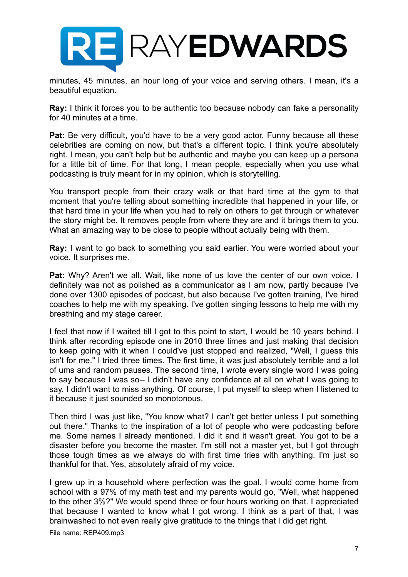

minutes, 45 minutes, an hour long of your voice and serving others. I mean, it's a beautiful equation.

**Ray:** I think it forces you to be authentic too because nobody can fake a personality for 40 minutes at a time.

**Pat:** Be very difficult, you'd have to be a very good actor. Funny because all these celebrities are coming on now, but that's a different topic. I think you're absolutely right. I mean, you can't help but be authentic and maybe you can keep up a persona for a little bit of time. For that long, I mean people, especially when you use what podcasting is truly meant for in my opinion, which is storytelling.

You transport people from their crazy walk or that hard time at the gym to that moment that you're telling about something incredible that happened in your life, or that hard time in your life when you had to rely on others to get through or whatever the story might be. It removes people from where they are and it brings them to you. What an amazing way to be close to people without actually being with them.

**Ray:** I want to go back to something you said earlier. You were worried about your voice. It surprises me.

**Pat:** Why? Aren't we all. Wait, like none of us love the center of our own voice. I definitely was not as polished as a communicator as I am now, partly because I've done over 1300 episodes of podcast, but also because I've gotten training, I've hired coaches to help me with my speaking. I've gotten singing lessons to help me with my breathing and my stage career.

I feel that now if I waited till I got to this point to start, I would be 10 years behind. I think after recording episode one in 2010 three times and just making that decision to keep going with it when I could've just stopped and realized, "Well, I guess this isn't for me." I tried three times. The first time, it was just absolutely terrible and a lot of ums and random pauses. The second time, I wrote every single word I was going to say because I was so-- I didn't have any confidence at all on what I was going to say. I didn't want to miss anything. Of course, I put myself to sleep when I listened to it because it just sounded so monotonous.

Then third I was just like, "You know what? I can't get better unless I put something out there." Thanks to the inspiration of a lot of people who were podcasting before me. Some names I already mentioned. I did it and it wasn't great. You got to be a disaster before you become the master. I'm still not a master yet, but I got through those tough times as we always do with first time tries with anything. I'm just so thankful for that. Yes, absolutely afraid of my voice.

I grew up in a household where perfection was the goal. I would come home from school with a 97% of my math test and my parents would go, "Well, what happened to the other 3%?" We would spend three or four hours working on that. I appreciated that because I wanted to know what I got wrong. I think as a part of that, I was brainwashed to not even really give gratitude to the things that I did get right.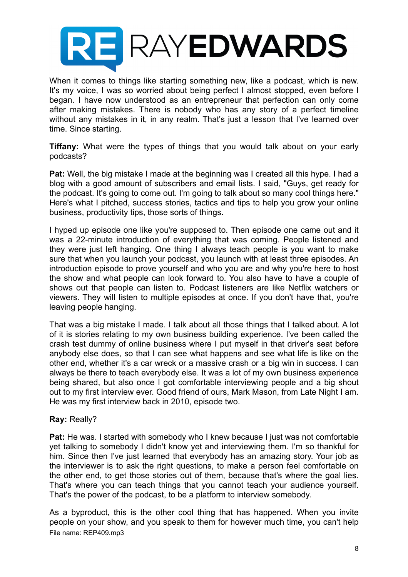

When it comes to things like starting something new, like a podcast, which is new. It's my voice, I was so worried about being perfect I almost stopped, even before I began. I have now understood as an entrepreneur that perfection can only come after making mistakes. There is nobody who has any story of a perfect timeline without any mistakes in it, in any realm. That's just a lesson that I've learned over time. Since starting.

**Tiffany:** What were the types of things that you would talk about on your early podcasts?

**Pat:** Well, the big mistake I made at the beginning was I created all this hype. I had a blog with a good amount of subscribers and email lists. I said, "Guys, get ready for the podcast. It's going to come out. I'm going to talk about so many cool things here." Here's what I pitched, success stories, tactics and tips to help you grow your online business, productivity tips, those sorts of things.

I hyped up episode one like you're supposed to. Then episode one came out and it was a 22-minute introduction of everything that was coming. People listened and they were just left hanging. One thing I always teach people is you want to make sure that when you launch your podcast, you launch with at least three episodes. An introduction episode to prove yourself and who you are and why you're here to host the show and what people can look forward to. You also have to have a couple of shows out that people can listen to. Podcast listeners are like Netflix watchers or viewers. They will listen to multiple episodes at once. If you don't have that, you're leaving people hanging.

That was a big mistake I made. I talk about all those things that I talked about. A lot of it is stories relating to my own business building experience. I've been called the crash test dummy of online business where I put myself in that driver's seat before anybody else does, so that I can see what happens and see what life is like on the other end, whether it's a car wreck or a massive crash or a big win in success. I can always be there to teach everybody else. It was a lot of my own business experience being shared, but also once I got comfortable interviewing people and a big shout out to my first interview ever. Good friend of ours, Mark Mason, from Late Night I am. He was my first interview back in 2010, episode two.

#### **Ray:** Really?

**Pat:** He was. I started with somebody who I knew because I just was not comfortable yet talking to somebody I didn't know yet and interviewing them. I'm so thankful for him. Since then I've just learned that everybody has an amazing story. Your job as the interviewer is to ask the right questions, to make a person feel comfortable on the other end, to get those stories out of them, because that's where the goal lies. That's where you can teach things that you cannot teach your audience yourself. That's the power of the podcast, to be a platform to interview somebody.

As a byproduct, this is the other cool thing that has happened. When you invite people on your show, and you speak to them for however much time, you can't help File name: REP409.mp3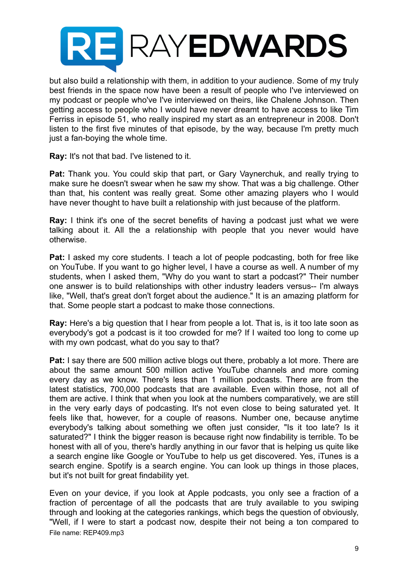# **RE RAYEDWARDS**

but also build a relationship with them, in addition to your audience. Some of my truly best friends in the space now have been a result of people who I've interviewed on my podcast or people who've I've interviewed on theirs, like Chalene Johnson. Then getting access to people who I would have never dreamt to have access to like Tim Ferriss in episode 51, who really inspired my start as an entrepreneur in 2008. Don't listen to the first five minutes of that episode, by the way, because I'm pretty much just a fan-boying the whole time.

**Ray:** It's not that bad. I've listened to it.

**Pat:** Thank you. You could skip that part, or Gary Vaynerchuk, and really trying to make sure he doesn't swear when he saw my show. That was a big challenge. Other than that, his content was really great. Some other amazing players who I would have never thought to have built a relationship with just because of the platform.

**Ray:** I think it's one of the secret benefits of having a podcast just what we were talking about it. All the a relationship with people that you never would have otherwise.

**Pat:** I asked my core students. I teach a lot of people podcasting, both for free like on YouTube. If you want to go higher level, I have a course as well. A number of my students, when I asked them, "Why do you want to start a podcast?" Their number one answer is to build relationships with other industry leaders versus-- I'm always like, "Well, that's great don't forget about the audience." It is an amazing platform for that. Some people start a podcast to make those connections.

**Ray:** Here's a big question that I hear from people a lot. That is, is it too late soon as everybody's got a podcast is it too crowded for me? If I waited too long to come up with my own podcast, what do you say to that?

**Pat:** I say there are 500 million active blogs out there, probably a lot more. There are about the same amount 500 million active YouTube channels and more coming every day as we know. There's less than 1 million podcasts. There are from the latest statistics, 700,000 podcasts that are available. Even within those, not all of them are active. I think that when you look at the numbers comparatively, we are still in the very early days of podcasting. It's not even close to being saturated yet. It feels like that, however, for a couple of reasons. Number one, because anytime everybody's talking about something we often just consider, "Is it too late? Is it saturated?" I think the bigger reason is because right now findability is terrible. To be honest with all of you, there's hardly anything in our favor that is helping us quite like a search engine like Google or YouTube to help us get discovered. Yes, iTunes is a search engine. Spotify is a search engine. You can look up things in those places, but it's not built for great findability yet.

Even on your device, if you look at Apple podcasts, you only see a fraction of a fraction of percentage of all the podcasts that are truly available to you swiping through and looking at the categories rankings, which begs the question of obviously, "Well, if I were to start a podcast now, despite their not being a ton compared to File name: REP409.mp3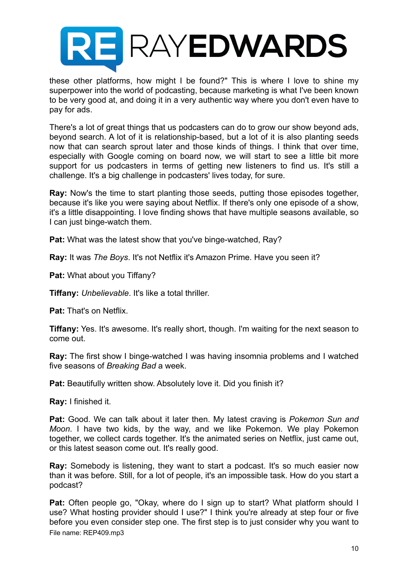

these other platforms, how might I be found?" This is where I love to shine my superpower into the world of podcasting, because marketing is what I've been known to be very good at, and doing it in a very authentic way where you don't even have to pay for ads.

There's a lot of great things that us podcasters can do to grow our show beyond ads, beyond search. A lot of it is relationship-based, but a lot of it is also planting seeds now that can search sprout later and those kinds of things. I think that over time, especially with Google coming on board now, we will start to see a little bit more support for us podcasters in terms of getting new listeners to find us. It's still a challenge. It's a big challenge in podcasters' lives today, for sure.

**Ray:** Now's the time to start planting those seeds, putting those episodes together, because it's like you were saying about Netflix. If there's only one episode of a show, it's a little disappointing. I love finding shows that have multiple seasons available, so I can just binge-watch them.

**Pat:** What was the latest show that you've binge-watched, Ray?

**Ray:** It was *The Boys*. It's not Netflix it's Amazon Prime. Have you seen it?

**Pat:** What about you Tiffany?

**Tiffany:** *Unbelievable*. It's like a total thriller.

**Pat:** That's on Netflix.

**Tiffany:** Yes. It's awesome. It's really short, though. I'm waiting for the next season to come out.

**Ray:** The first show I binge-watched I was having insomnia problems and I watched five seasons of *Breaking Bad* a week.

Pat: Beautifully written show. Absolutely love it. Did you finish it?

**Ray:** I finished it.

**Pat:** Good. We can talk about it later then. My latest craving is *Pokemon Sun and Moon*. I have two kids, by the way, and we like Pokemon. We play Pokemon together, we collect cards together. It's the animated series on Netflix, just came out, or this latest season come out. It's really good.

**Ray:** Somebody is listening, they want to start a podcast. It's so much easier now than it was before. Still, for a lot of people, it's an impossible task. How do you start a podcast?

**Pat:** Often people go, "Okay, where do I sign up to start? What platform should I use? What hosting provider should I use?" I think you're already at step four or five before you even consider step one. The first step is to just consider why you want to File name: REP409.mp3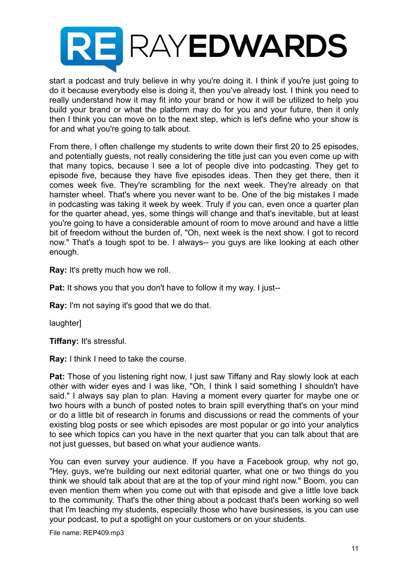

start a podcast and truly believe in why you're doing it. I think if you're just going to do it because everybody else is doing it, then you've already lost. I think you need to really understand how it may fit into your brand or how it will be utilized to help you build your brand or what the platform may do for you and your future, then it only then I think you can move on to the next step, which is let's define who your show is for and what you're going to talk about.

From there, I often challenge my students to write down their first 20 to 25 episodes, and potentially guests, not really considering the title just can you even come up with that many topics, because I see a lot of people dive into podcasting. They get to episode five, because they have five episodes ideas. Then they get there, then it comes week five. They're scrambling for the next week. They're already on that hamster wheel. That's where you never want to be. One of the big mistakes I made in podcasting was taking it week by week. Truly if you can, even once a quarter plan for the quarter ahead, yes, some things will change and that's inevitable, but at least you're going to have a considerable amount of room to move around and have a little bit of freedom without the burden of, "Oh, next week is the next show. I got to record now." That's a tough spot to be. I always-- you guys are like looking at each other enough.

**Ray:** It's pretty much how we roll.

**Pat:** It shows you that you don't have to follow it my way. I just--

**Ray:** I'm not saying it's good that we do that.

laughter]

**Tiffany:** It's stressful.

**Ray:** I think I need to take the course.

**Pat:** Those of you listening right now, I just saw Tiffany and Ray slowly look at each other with wider eyes and I was like, "Oh, I think I said something I shouldn't have said." I always say plan to plan. Having a moment every quarter for maybe one or two hours with a bunch of posted notes to brain spill everything that's on your mind or do a little bit of research in forums and discussions or read the comments of your existing blog posts or see which episodes are most popular or go into your analytics to see which topics can you have in the next quarter that you can talk about that are not just guesses, but based on what your audience wants.

You can even survey your audience. If you have a Facebook group, why not go, "Hey, guys, we're building our next editorial quarter, what one or two things do you think we should talk about that are at the top of your mind right now." Boom, you can even mention them when you come out with that episode and give a little love back to the community. That's the other thing about a podcast that's been working so well that I'm teaching my students, especially those who have businesses, is you can use your podcast, to put a spotlight on your customers or on your students.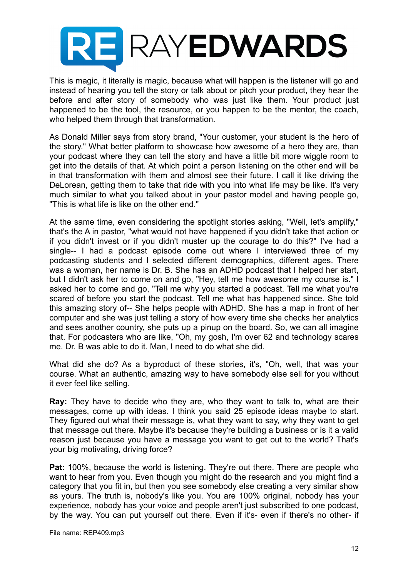

This is magic, it literally is magic, because what will happen is the listener will go and instead of hearing you tell the story or talk about or pitch your product, they hear the before and after story of somebody who was just like them. Your product just happened to be the tool, the resource, or you happen to be the mentor, the coach, who helped them through that transformation.

As Donald Miller says from story brand, "Your customer, your student is the hero of the story." What better platform to showcase how awesome of a hero they are, than your podcast where they can tell the story and have a little bit more wiggle room to get into the details of that. At which point a person listening on the other end will be in that transformation with them and almost see their future. I call it like driving the DeLorean, getting them to take that ride with you into what life may be like. It's very much similar to what you talked about in your pastor model and having people go, "This is what life is like on the other end."

At the same time, even considering the spotlight stories asking, "Well, let's amplify," that's the A in pastor, "what would not have happened if you didn't take that action or if you didn't invest or if you didn't muster up the courage to do this?" I've had a single-- I had a podcast episode come out where I interviewed three of my podcasting students and I selected different demographics, different ages. There was a woman, her name is Dr. B. She has an ADHD podcast that I helped her start, but I didn't ask her to come on and go, "Hey, tell me how awesome my course is." I asked her to come and go, "Tell me why you started a podcast. Tell me what you're scared of before you start the podcast. Tell me what has happened since. She told this amazing story of-- She helps people with ADHD. She has a map in front of her computer and she was just telling a story of how every time she checks her analytics and sees another country, she puts up a pinup on the board. So, we can all imagine that. For podcasters who are like, "Oh, my gosh, I'm over 62 and technology scares me. Dr. B was able to do it. Man, I need to do what she did.

What did she do? As a byproduct of these stories, it's, "Oh, well, that was your course. What an authentic, amazing way to have somebody else sell for you without it ever feel like selling.

**Ray:** They have to decide who they are, who they want to talk to, what are their messages, come up with ideas. I think you said 25 episode ideas maybe to start. They figured out what their message is, what they want to say, why they want to get that message out there. Maybe it's because they're building a business or is it a valid reason just because you have a message you want to get out to the world? That's your big motivating, driving force?

**Pat:** 100%, because the world is listening. They're out there. There are people who want to hear from you. Even though you might do the research and you might find a category that you fit in, but then you see somebody else creating a very similar show as yours. The truth is, nobody's like you. You are 100% original, nobody has your experience, nobody has your voice and people aren't just subscribed to one podcast, by the way. You can put yourself out there. Even if it's- even if there's no other- if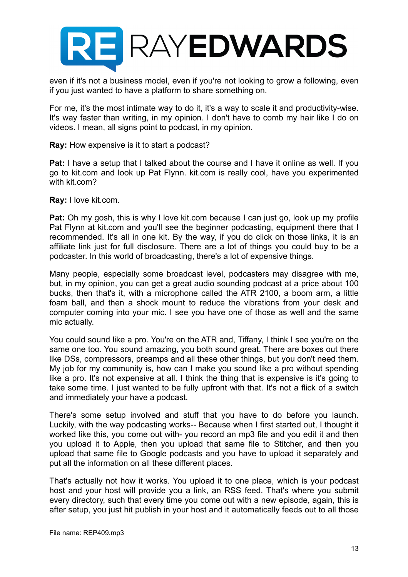

even if it's not a business model, even if you're not looking to grow a following, even if you just wanted to have a platform to share something on.

For me, it's the most intimate way to do it, it's a way to scale it and productivity-wise. It's way faster than writing, in my opinion. I don't have to comb my hair like I do on videos. I mean, all signs point to podcast, in my opinion.

#### **Ray:** How expensive is it to start a podcast?

**Pat:** I have a setup that I talked about the course and I have it online as well. If you go to kit.com and look up Pat Flynn. kit.com is really cool, have you experimented with kit.com?

**Ray:** I love kit.com.

**Pat:** Oh my gosh, this is why I love kit.com because I can just go, look up my profile Pat Flynn at kit.com and you'll see the beginner podcasting, equipment there that I recommended. It's all in one kit. By the way, if you do click on those links, it is an affiliate link just for full disclosure. There are a lot of things you could buy to be a podcaster. In this world of broadcasting, there's a lot of expensive things.

Many people, especially some broadcast level, podcasters may disagree with me, but, in my opinion, you can get a great audio sounding podcast at a price about 100 bucks, then that's it, with a microphone called the ATR 2100, a boom arm, a little foam ball, and then a shock mount to reduce the vibrations from your desk and computer coming into your mic. I see you have one of those as well and the same mic actually.

You could sound like a pro. You're on the ATR and, Tiffany, I think I see you're on the same one too. You sound amazing, you both sound great. There are boxes out there like DSs, compressors, preamps and all these other things, but you don't need them. My job for my community is, how can I make you sound like a pro without spending like a pro. It's not expensive at all. I think the thing that is expensive is it's going to take some time. I just wanted to be fully upfront with that. It's not a flick of a switch and immediately your have a podcast.

There's some setup involved and stuff that you have to do before you launch. Luckily, with the way podcasting works-- Because when I first started out, I thought it worked like this, you come out with- you record an mp3 file and you edit it and then you upload it to Apple, then you upload that same file to Stitcher, and then you upload that same file to Google podcasts and you have to upload it separately and put all the information on all these different places.

That's actually not how it works. You upload it to one place, which is your podcast host and your host will provide you a link, an RSS feed. That's where you submit every directory, such that every time you come out with a new episode, again, this is after setup, you just hit publish in your host and it automatically feeds out to all those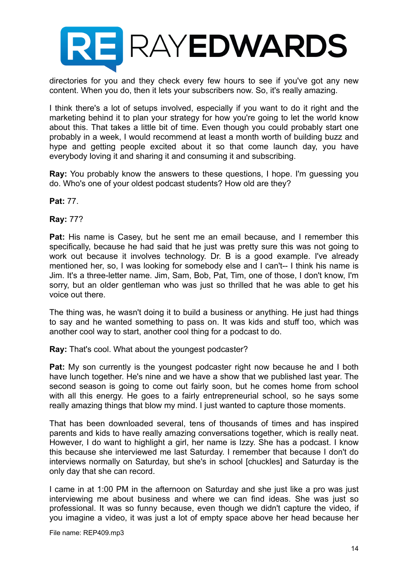

directories for you and they check every few hours to see if you've got any new content. When you do, then it lets your subscribers now. So, it's really amazing.

I think there's a lot of setups involved, especially if you want to do it right and the marketing behind it to plan your strategy for how you're going to let the world know about this. That takes a little bit of time. Even though you could probably start one probably in a week, I would recommend at least a month worth of building buzz and hype and getting people excited about it so that come launch day, you have everybody loving it and sharing it and consuming it and subscribing.

**Ray:** You probably know the answers to these questions, I hope. I'm guessing you do. Who's one of your oldest podcast students? How old are they?

**Pat:** 77.

**Ray:** 77?

**Pat:** His name is Casey, but he sent me an email because, and I remember this specifically, because he had said that he just was pretty sure this was not going to work out because it involves technology. Dr. B is a good example. I've already mentioned her, so, I was looking for somebody else and I can't-- I think his name is Jim. It's a three-letter name. Jim, Sam, Bob, Pat, Tim, one of those, I don't know, I'm sorry, but an older gentleman who was just so thrilled that he was able to get his voice out there.

The thing was, he wasn't doing it to build a business or anything. He just had things to say and he wanted something to pass on. It was kids and stuff too, which was another cool way to start, another cool thing for a podcast to do.

**Ray:** That's cool. What about the youngest podcaster?

**Pat:** My son currently is the youngest podcaster right now because he and I both have lunch together. He's nine and we have a show that we published last year. The second season is going to come out fairly soon, but he comes home from school with all this energy. He goes to a fairly entrepreneurial school, so he says some really amazing things that blow my mind. I just wanted to capture those moments.

That has been downloaded several, tens of thousands of times and has inspired parents and kids to have really amazing conversations together, which is really neat. However, I do want to highlight a girl, her name is Izzy. She has a podcast. I know this because she interviewed me last Saturday. I remember that because I don't do interviews normally on Saturday, but she's in school [chuckles] and Saturday is the only day that she can record.

I came in at 1:00 PM in the afternoon on Saturday and she just like a pro was just interviewing me about business and where we can find ideas. She was just so professional. It was so funny because, even though we didn't capture the video, if you imagine a video, it was just a lot of empty space above her head because her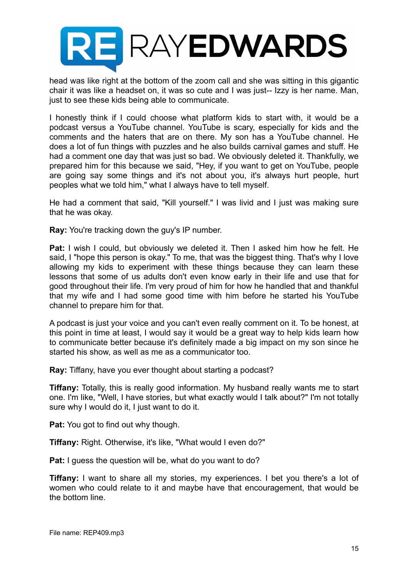

head was like right at the bottom of the zoom call and she was sitting in this gigantic chair it was like a headset on, it was so cute and I was just-- Izzy is her name. Man, just to see these kids being able to communicate.

I honestly think if I could choose what platform kids to start with, it would be a podcast versus a YouTube channel. YouTube is scary, especially for kids and the comments and the haters that are on there. My son has a YouTube channel. He does a lot of fun things with puzzles and he also builds carnival games and stuff. He had a comment one day that was just so bad. We obviously deleted it. Thankfully, we prepared him for this because we said, "Hey, if you want to get on YouTube, people are going say some things and it's not about you, it's always hurt people, hurt peoples what we told him," what I always have to tell myself.

He had a comment that said, "Kill yourself." I was livid and I just was making sure that he was okay.

**Ray:** You're tracking down the guy's IP number.

**Pat:** I wish I could, but obviously we deleted it. Then I asked him how he felt. He said, I "hope this person is okay." To me, that was the biggest thing. That's why I love allowing my kids to experiment with these things because they can learn these lessons that some of us adults don't even know early in their life and use that for good throughout their life. I'm very proud of him for how he handled that and thankful that my wife and I had some good time with him before he started his YouTube channel to prepare him for that.

A podcast is just your voice and you can't even really comment on it. To be honest, at this point in time at least, I would say it would be a great way to help kids learn how to communicate better because it's definitely made a big impact on my son since he started his show, as well as me as a communicator too.

**Ray:** Tiffany, have you ever thought about starting a podcast?

**Tiffany:** Totally, this is really good information. My husband really wants me to start one. I'm like, "Well, I have stories, but what exactly would I talk about?" I'm not totally sure why I would do it, I just want to do it.

**Pat:** You got to find out why though.

**Tiffany:** Right. Otherwise, it's like, "What would I even do?"

**Pat:** I guess the question will be, what do you want to do?

**Tiffany:** I want to share all my stories, my experiences. I bet you there's a lot of women who could relate to it and maybe have that encouragement, that would be the bottom line.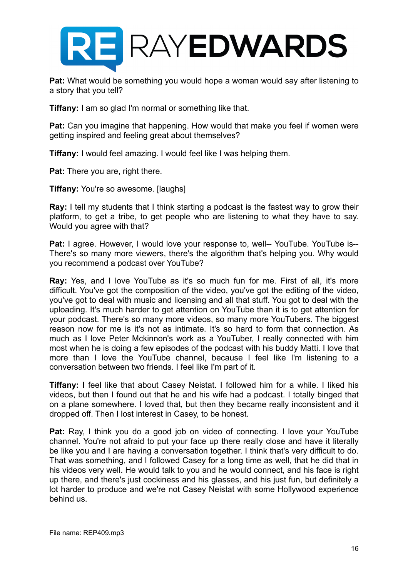

**Pat:** What would be something you would hope a woman would say after listening to a story that you tell?

**Tiffany:** I am so glad I'm normal or something like that.

**Pat:** Can you imagine that happening. How would that make you feel if women were getting inspired and feeling great about themselves?

**Tiffany:** I would feel amazing. I would feel like I was helping them.

**Pat:** There you are, right there.

**Tiffany:** You're so awesome. [laughs]

**Ray:** I tell my students that I think starting a podcast is the fastest way to grow their platform, to get a tribe, to get people who are listening to what they have to say. Would you agree with that?

**Pat:** I agree. However, I would love your response to, well-- YouTube. YouTube is--There's so many more viewers, there's the algorithm that's helping you. Why would you recommend a podcast over YouTube?

**Ray:** Yes, and I love YouTube as it's so much fun for me. First of all, it's more difficult. You've got the composition of the video, you've got the editing of the video, you've got to deal with music and licensing and all that stuff. You got to deal with the uploading. It's much harder to get attention on YouTube than it is to get attention for your podcast. There's so many more videos, so many more YouTubers. The biggest reason now for me is it's not as intimate. It's so hard to form that connection. As much as I love Peter Mckinnon's work as a YouTuber, I really connected with him most when he is doing a few episodes of the podcast with his buddy Matti. I love that more than I love the YouTube channel, because I feel like I'm listening to a conversation between two friends. I feel like I'm part of it.

**Tiffany:** I feel like that about Casey Neistat. I followed him for a while. I liked his videos, but then I found out that he and his wife had a podcast. I totally binged that on a plane somewhere. I loved that, but then they became really inconsistent and it dropped off. Then I lost interest in Casey, to be honest.

**Pat:** Ray, I think you do a good job on video of connecting. I love your YouTube channel. You're not afraid to put your face up there really close and have it literally be like you and I are having a conversation together. I think that's very difficult to do. That was something, and I followed Casey for a long time as well, that he did that in his videos very well. He would talk to you and he would connect, and his face is right up there, and there's just cockiness and his glasses, and his just fun, but definitely a lot harder to produce and we're not Casey Neistat with some Hollywood experience behind us.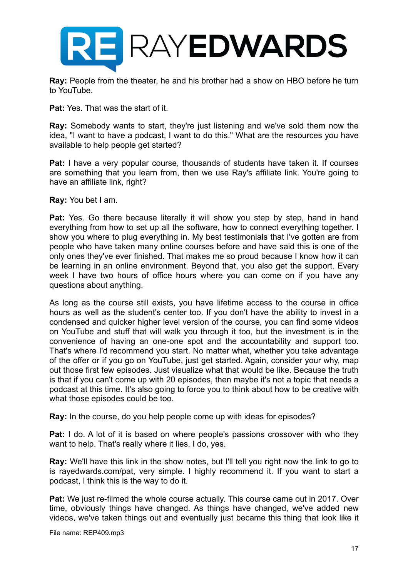

**Ray:** People from the theater, he and his brother had a show on HBO before he turn to YouTube.

**Pat:** Yes. That was the start of it.

**Ray:** Somebody wants to start, they're just listening and we've sold them now the idea, "I want to have a podcast, I want to do this." What are the resources you have available to help people get started?

**Pat:** I have a very popular course, thousands of students have taken it. If courses are something that you learn from, then we use Ray's affiliate link. You're going to have an affiliate link, right?

**Ray:** You bet I am.

Pat: Yes. Go there because literally it will show you step by step, hand in hand everything from how to set up all the software, how to connect everything together. I show you where to plug everything in. My best testimonials that I've gotten are from people who have taken many online courses before and have said this is one of the only ones they've ever finished. That makes me so proud because I know how it can be learning in an online environment. Beyond that, you also get the support. Every week I have two hours of office hours where you can come on if you have any questions about anything.

As long as the course still exists, you have lifetime access to the course in office hours as well as the student's center too. If you don't have the ability to invest in a condensed and quicker higher level version of the course, you can find some videos on YouTube and stuff that will walk you through it too, but the investment is in the convenience of having an one-one spot and the accountability and support too. That's where I'd recommend you start. No matter what, whether you take advantage of the offer or if you go on YouTube, just get started. Again, consider your why, map out those first few episodes. Just visualize what that would be like. Because the truth is that if you can't come up with 20 episodes, then maybe it's not a topic that needs a podcast at this time. It's also going to force you to think about how to be creative with what those episodes could be too.

**Ray:** In the course, do you help people come up with ideas for episodes?

**Pat:** I do. A lot of it is based on where people's passions crossover with who they want to help. That's really where it lies. I do, yes.

**Ray:** We'll have this link in the show notes, but I'll tell you right now the link to go to is rayedwards.com/pat, very simple. I highly recommend it. If you want to start a podcast, I think this is the way to do it.

**Pat:** We just re-filmed the whole course actually. This course came out in 2017. Over time, obviously things have changed. As things have changed, we've added new videos, we've taken things out and eventually just became this thing that look like it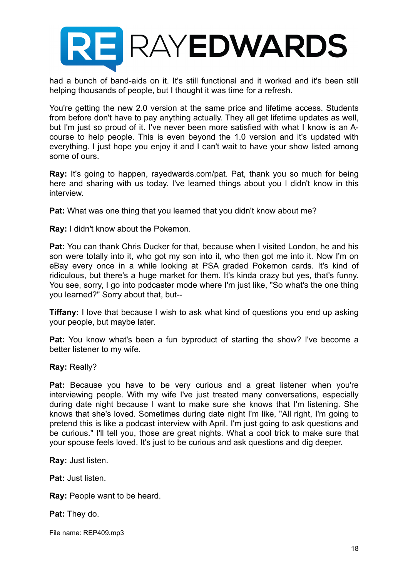

had a bunch of band-aids on it. It's still functional and it worked and it's been still helping thousands of people, but I thought it was time for a refresh.

You're getting the new 2.0 version at the same price and lifetime access. Students from before don't have to pay anything actually. They all get lifetime updates as well, but I'm just so proud of it. I've never been more satisfied with what I know is an Acourse to help people. This is even beyond the 1.0 version and it's updated with everything. I just hope you enjoy it and I can't wait to have your show listed among some of ours.

**Ray:** It's going to happen, rayedwards.com/pat. Pat, thank you so much for being here and sharing with us today. I've learned things about you I didn't know in this interview.

**Pat:** What was one thing that you learned that you didn't know about me?

**Ray:** I didn't know about the Pokemon.

**Pat:** You can thank Chris Ducker for that, because when I visited London, he and his son were totally into it, who got my son into it, who then got me into it. Now I'm on eBay every once in a while looking at PSA graded Pokemon cards. It's kind of ridiculous, but there's a huge market for them. It's kinda crazy but yes, that's funny. You see, sorry, I go into podcaster mode where I'm just like, "So what's the one thing you learned?" Sorry about that, but--

**Tiffany:** I love that because I wish to ask what kind of questions you end up asking your people, but maybe later.

**Pat:** You know what's been a fun byproduct of starting the show? I've become a better listener to my wife.

**Ray:** Really?

**Pat:** Because you have to be very curious and a great listener when you're interviewing people. With my wife I've just treated many conversations, especially during date night because I want to make sure she knows that I'm listening. She knows that she's loved. Sometimes during date night I'm like, "All right, I'm going to pretend this is like a podcast interview with April. I'm just going to ask questions and be curious." I'll tell you, those are great nights. What a cool trick to make sure that your spouse feels loved. It's just to be curious and ask questions and dig deeper.

**Ray:** Just listen.

**Pat:** Just listen.

**Ray:** People want to be heard.

**Pat:** They do.